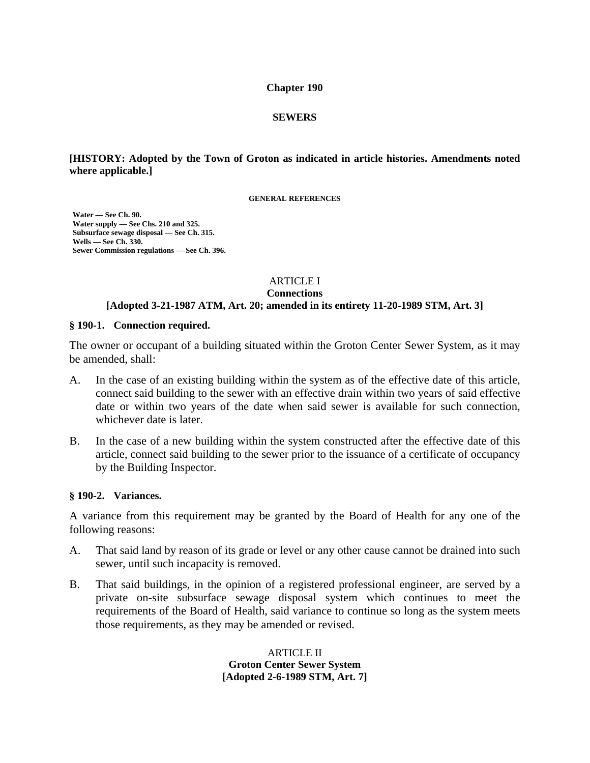#### **Chapter 190**

### **SEWERS**

### **[HISTORY: Adopted by the Town of Groton as indicated in article histories. Amendments noted where applicable.]**

**GENERAL REFERENCES** 

 **Water — See Ch. 90. Water supply — See Chs. 210 and 325. Subsurface sewage disposal — See Ch. 315. Wells — See Ch. 330. Sewer Commission regulations — See Ch. 396.** 

#### ARTICLE I

**Connections**

### **[Adopted 3-21-1987 ATM, Art. 20; amended in its entirety 11-20-1989 STM, Art. 3]**

#### **§ 190-1. Connection required.**

The owner or occupant of a building situated within the Groton Center Sewer System, as it may be amended, shall:

- A. In the case of an existing building within the system as of the effective date of this article, connect said building to the sewer with an effective drain within two years of said effective date or within two years of the date when said sewer is available for such connection, whichever date is later.
- B. In the case of a new building within the system constructed after the effective date of this article, connect said building to the sewer prior to the issuance of a certificate of occupancy by the Building Inspector.

### **§ 190-2. Variances.**

A variance from this requirement may be granted by the Board of Health for any one of the following reasons:

- A. That said land by reason of its grade or level or any other cause cannot be drained into such sewer, until such incapacity is removed.
- B. That said buildings, in the opinion of a registered professional engineer, are served by a private on-site subsurface sewage disposal system which continues to meet the requirements of the Board of Health, said variance to continue so long as the system meets those requirements, as they may be amended or revised.

ARTICLE II **Groton Center Sewer System [Adopted 2-6-1989 STM, Art. 7]**